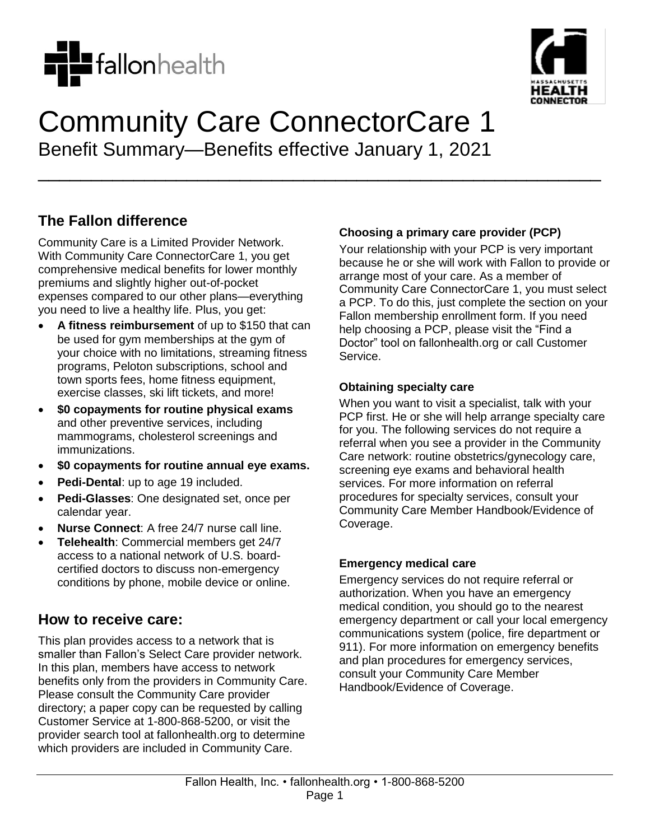



# Community Care ConnectorCare 1 Benefit Summary—Benefits effective January 1, 2021

\_\_\_\_\_\_\_\_\_\_\_\_\_\_\_\_\_\_\_\_\_\_\_\_\_\_\_\_\_\_\_\_\_\_\_\_\_\_\_\_\_\_\_\_\_\_\_\_\_\_\_\_\_

**The Fallon difference**

Community Care is a Limited Provider Network. With Community Care ConnectorCare 1, you get comprehensive medical benefits for lower monthly premiums and slightly higher out-of-pocket expenses compared to our other plans—everything you need to live a healthy life. Plus, you get:

- **A fitness reimbursement** of up to \$150 that can be used for gym memberships at the gym of your choice with no limitations, streaming fitness programs, Peloton subscriptions, school and town sports fees, home fitness equipment, exercise classes, ski lift tickets, and more!
- **\$0 copayments for routine physical exams** and other preventive services, including mammograms, cholesterol screenings and immunizations.
- **\$0 copayments for routine annual eye exams.**
- **Pedi-Dental**: up to age 19 included.
- **Pedi-Glasses**: One designated set, once per calendar year.
- **Nurse Connect**: A free 24/7 nurse call line.
- **Telehealth**: Commercial members get 24/7 access to a national network of U.S. boardcertified doctors to discuss non-emergency conditions by phone, mobile device or online.

## **How to receive care:**

This plan provides access to a network that is smaller than Fallon's Select Care provider network. In this plan, members have access to network benefits only from the providers in Community Care. Please consult the Community Care provider directory; a paper copy can be requested by calling Customer Service at 1-800-868-5200, or visit the provider search tool at fallonhealth.org to determine which providers are included in Community Care.

#### **Choosing a primary care provider (PCP)**

Your relationship with your PCP is very important because he or she will work with Fallon to provide or arrange most of your care. As a member of Community Care ConnectorCare 1, you must select a PCP. To do this, just complete the section on your Fallon membership enrollment form. If you need help choosing a PCP, please visit the "Find a Doctor" tool on fallonhealth.org or call Customer Service.

#### **Obtaining specialty care**

When you want to visit a specialist, talk with your PCP first. He or she will help arrange specialty care for you. The following services do not require a referral when you see a provider in the Community Care network: routine obstetrics/gynecology care, screening eye exams and behavioral health services. For more information on referral procedures for specialty services, consult your Community Care Member Handbook/Evidence of Coverage.

#### **Emergency medical care**

Emergency services do not require referral or authorization. When you have an emergency medical condition, you should go to the nearest emergency department or call your local emergency communications system (police, fire department or 911). For more information on emergency benefits and plan procedures for emergency services, consult your Community Care Member Handbook/Evidence of Coverage.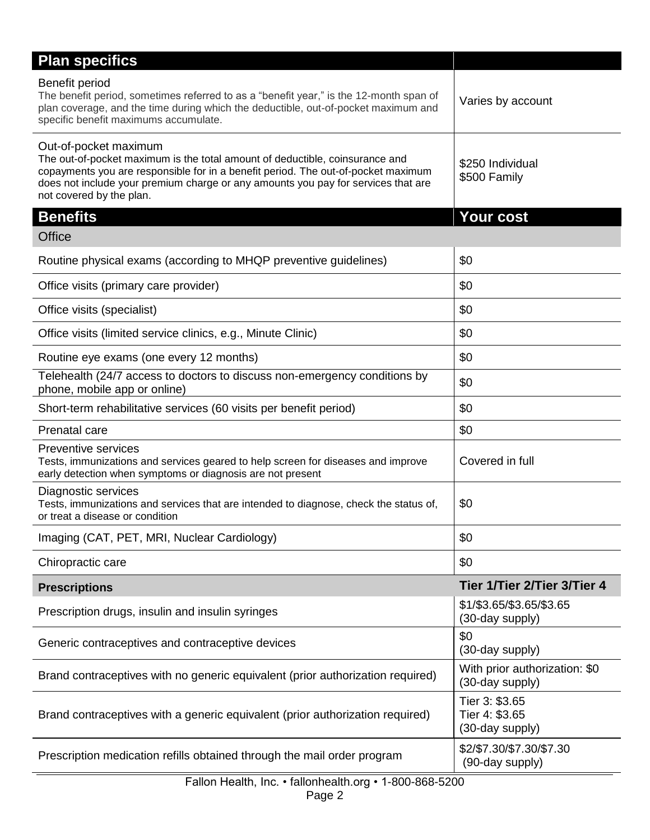| <b>Plan specifics</b>                                                                                                                                                                                                                                                                                       |                                                     |
|-------------------------------------------------------------------------------------------------------------------------------------------------------------------------------------------------------------------------------------------------------------------------------------------------------------|-----------------------------------------------------|
| Benefit period<br>The benefit period, sometimes referred to as a "benefit year," is the 12-month span of<br>plan coverage, and the time during which the deductible, out-of-pocket maximum and<br>specific benefit maximums accumulate.                                                                     | Varies by account                                   |
| Out-of-pocket maximum<br>The out-of-pocket maximum is the total amount of deductible, coinsurance and<br>copayments you are responsible for in a benefit period. The out-of-pocket maximum<br>does not include your premium charge or any amounts you pay for services that are<br>not covered by the plan. | \$250 Individual<br>\$500 Family                    |
| <b>Benefits</b>                                                                                                                                                                                                                                                                                             | <b>Your cost</b>                                    |
| <b>Office</b>                                                                                                                                                                                                                                                                                               |                                                     |
| Routine physical exams (according to MHQP preventive guidelines)                                                                                                                                                                                                                                            | \$0                                                 |
| Office visits (primary care provider)                                                                                                                                                                                                                                                                       | \$0                                                 |
| Office visits (specialist)                                                                                                                                                                                                                                                                                  | \$0                                                 |
| Office visits (limited service clinics, e.g., Minute Clinic)                                                                                                                                                                                                                                                | \$0                                                 |
| Routine eye exams (one every 12 months)                                                                                                                                                                                                                                                                     | \$0                                                 |
| Telehealth (24/7 access to doctors to discuss non-emergency conditions by<br>phone, mobile app or online)                                                                                                                                                                                                   | \$0                                                 |
| Short-term rehabilitative services (60 visits per benefit period)                                                                                                                                                                                                                                           | \$0                                                 |
| Prenatal care                                                                                                                                                                                                                                                                                               | \$0                                                 |
| <b>Preventive services</b><br>Tests, immunizations and services geared to help screen for diseases and improve<br>early detection when symptoms or diagnosis are not present                                                                                                                                | Covered in full                                     |
| Diagnostic services<br>Tests, immunizations and services that are intended to diagnose, check the status of,<br>or treat a disease or condition                                                                                                                                                             | \$0                                                 |
| Imaging (CAT, PET, MRI, Nuclear Cardiology)                                                                                                                                                                                                                                                                 | \$0                                                 |
| Chiropractic care                                                                                                                                                                                                                                                                                           | \$0                                                 |
| <b>Prescriptions</b>                                                                                                                                                                                                                                                                                        | Tier 1/Tier 2/Tier 3/Tier 4                         |
| Prescription drugs, insulin and insulin syringes                                                                                                                                                                                                                                                            | \$1/\$3.65/\$3.65/\$3.65<br>(30-day supply)         |
| Generic contraceptives and contraceptive devices                                                                                                                                                                                                                                                            | \$0<br>(30-day supply)                              |
| Brand contraceptives with no generic equivalent (prior authorization required)                                                                                                                                                                                                                              | With prior authorization: \$0<br>(30-day supply)    |
| Brand contraceptives with a generic equivalent (prior authorization required)                                                                                                                                                                                                                               | Tier 3: \$3.65<br>Tier 4: \$3.65<br>(30-day supply) |
| Prescription medication refills obtained through the mail order program                                                                                                                                                                                                                                     | \$2/\$7.30/\$7.30/\$7.30<br>(90-day supply)         |

# Fallon Health, Inc. • fallonhealth.org • 1-800-868-5200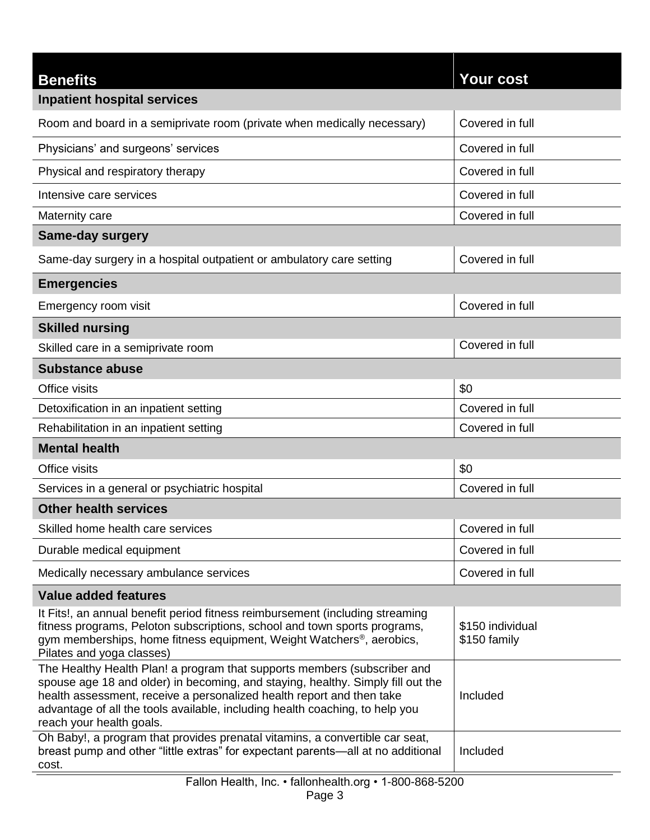| <b>Benefits</b>                                                                                                                                                                                                                                                                                                                                  | <b>Your cost</b>                 |  |
|--------------------------------------------------------------------------------------------------------------------------------------------------------------------------------------------------------------------------------------------------------------------------------------------------------------------------------------------------|----------------------------------|--|
| <b>Inpatient hospital services</b>                                                                                                                                                                                                                                                                                                               |                                  |  |
| Room and board in a semiprivate room (private when medically necessary)                                                                                                                                                                                                                                                                          | Covered in full                  |  |
| Physicians' and surgeons' services                                                                                                                                                                                                                                                                                                               | Covered in full                  |  |
| Physical and respiratory therapy                                                                                                                                                                                                                                                                                                                 | Covered in full                  |  |
| Intensive care services                                                                                                                                                                                                                                                                                                                          | Covered in full                  |  |
| Maternity care                                                                                                                                                                                                                                                                                                                                   | Covered in full                  |  |
| <b>Same-day surgery</b>                                                                                                                                                                                                                                                                                                                          |                                  |  |
| Same-day surgery in a hospital outpatient or ambulatory care setting                                                                                                                                                                                                                                                                             | Covered in full                  |  |
| <b>Emergencies</b>                                                                                                                                                                                                                                                                                                                               |                                  |  |
| Emergency room visit                                                                                                                                                                                                                                                                                                                             | Covered in full                  |  |
| <b>Skilled nursing</b>                                                                                                                                                                                                                                                                                                                           |                                  |  |
| Skilled care in a semiprivate room                                                                                                                                                                                                                                                                                                               | Covered in full                  |  |
| <b>Substance abuse</b>                                                                                                                                                                                                                                                                                                                           |                                  |  |
| Office visits                                                                                                                                                                                                                                                                                                                                    | \$0                              |  |
| Detoxification in an inpatient setting                                                                                                                                                                                                                                                                                                           | Covered in full                  |  |
| Rehabilitation in an inpatient setting                                                                                                                                                                                                                                                                                                           | Covered in full                  |  |
| <b>Mental health</b>                                                                                                                                                                                                                                                                                                                             |                                  |  |
| Office visits                                                                                                                                                                                                                                                                                                                                    | \$0                              |  |
| Services in a general or psychiatric hospital                                                                                                                                                                                                                                                                                                    | Covered in full                  |  |
| <b>Other health services</b>                                                                                                                                                                                                                                                                                                                     |                                  |  |
| Skilled home health care services                                                                                                                                                                                                                                                                                                                | Covered in full                  |  |
| Durable medical equipment                                                                                                                                                                                                                                                                                                                        | Covered in full                  |  |
| Medically necessary ambulance services                                                                                                                                                                                                                                                                                                           | Covered in full                  |  |
| <b>Value added features</b>                                                                                                                                                                                                                                                                                                                      |                                  |  |
| It Fits!, an annual benefit period fitness reimbursement (including streaming<br>fitness programs, Peloton subscriptions, school and town sports programs,<br>gym memberships, home fitness equipment, Weight Watchers®, aerobics,<br>Pilates and yoga classes)                                                                                  | \$150 individual<br>\$150 family |  |
| The Healthy Health Plan! a program that supports members (subscriber and<br>spouse age 18 and older) in becoming, and staying, healthy. Simply fill out the<br>health assessment, receive a personalized health report and then take<br>advantage of all the tools available, including health coaching, to help you<br>reach your health goals. | Included                         |  |
| Oh Baby!, a program that provides prenatal vitamins, a convertible car seat,<br>breast pump and other "little extras" for expectant parents—all at no additional<br>cost.                                                                                                                                                                        | Included                         |  |
| Fallon Health, Inc. • fallonhealth.org • 1-800-868-5200                                                                                                                                                                                                                                                                                          |                                  |  |